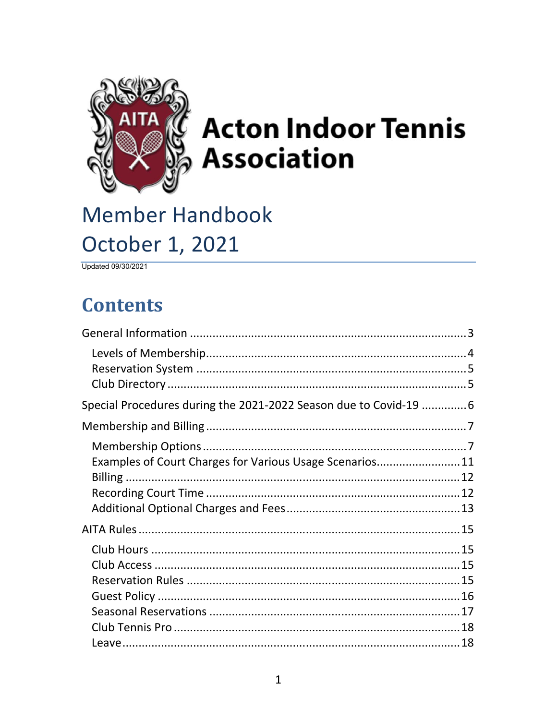

# **Acton Indoor Tennis Association**

## **Member Handbook** October 1, 2021

Updated 09/30/2021

## **Contents**

| Special Procedures during the 2021-2022 Season due to Covid-19  6 |  |
|-------------------------------------------------------------------|--|
|                                                                   |  |
|                                                                   |  |
| Examples of Court Charges for Various Usage Scenarios11           |  |
|                                                                   |  |
|                                                                   |  |
|                                                                   |  |
|                                                                   |  |
|                                                                   |  |
|                                                                   |  |
|                                                                   |  |
|                                                                   |  |
|                                                                   |  |
|                                                                   |  |
|                                                                   |  |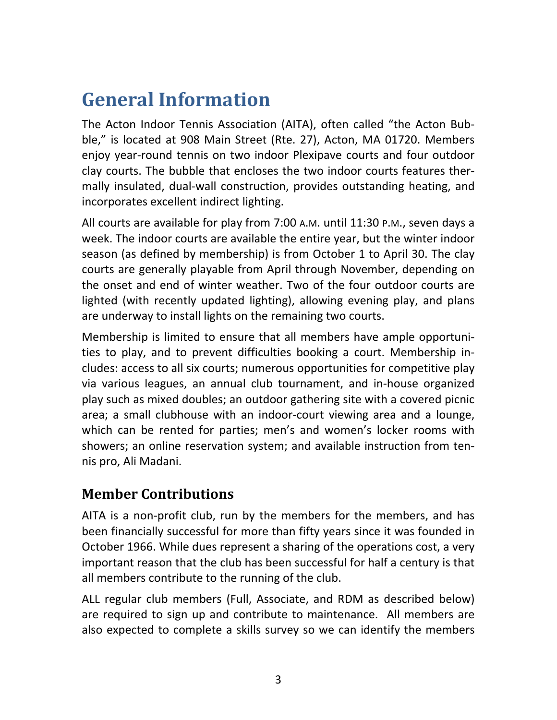## **General Information**

The Acton Indoor Tennis Association (AITA), often called "the Acton Bub‐ ble," is located at 908 Main Street (Rte. 27), Acton, MA 01720. Members enjoy year‐round tennis on two indoor Plexipave courts and four outdoor clay courts. The bubble that encloses the two indoor courts features ther‐ mally insulated, dual‐wall construction, provides outstanding heating, and incorporates excellent indirect lighting.

All courts are available for play from 7:00 A.M. until 11:30 P.M., seven days a week. The indoor courts are available the entire year, but the winter indoor season (as defined by membership) is from October 1 to April 30. The clay courts are generally playable from April through November, depending on the onset and end of winter weather. Two of the four outdoor courts are lighted (with recently updated lighting), allowing evening play, and plans are underway to install lights on the remaining two courts.

Membership is limited to ensure that all members have ample opportuni‐ ties to play, and to prevent difficulties booking a court. Membership in‐ cludes: access to all six courts; numerous opportunities for competitive play via various leagues, an annual club tournament, and in‐house organized play such as mixed doubles; an outdoor gathering site with a covered picnic area; a small clubhouse with an indoor‐court viewing area and a lounge, which can be rented for parties; men's and women's locker rooms with showers; an online reservation system; and available instruction from ten‐ nis pro, Ali Madani.

## **Member Contributions**

AITA is a non‐profit club, run by the members for the members, and has been financially successful for more than fifty years since it was founded in October 1966. While dues represent a sharing of the operations cost, a very important reason that the club has been successful for half a century is that all members contribute to the running of the club.

ALL regular club members (Full, Associate, and RDM as described below) are required to sign up and contribute to maintenance. All members are also expected to complete a skills survey so we can identify the members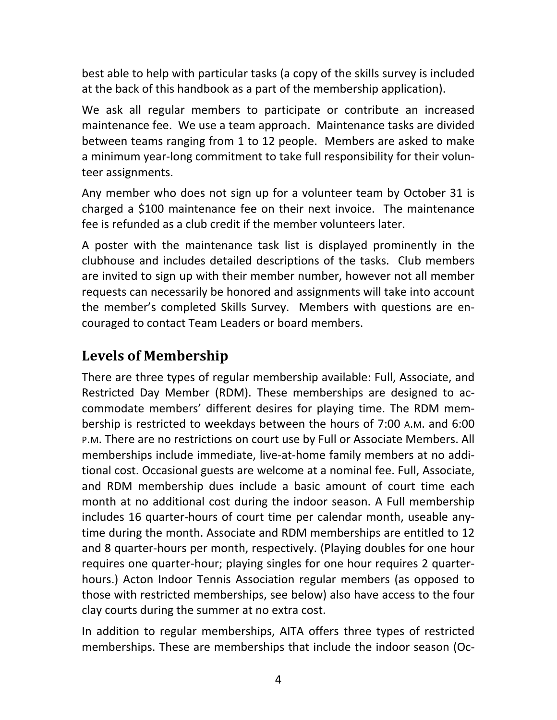best able to help with particular tasks (a copy of the skills survey is included at the back of this handbook as a part of the membership application).

We ask all regular members to participate or contribute an increased maintenance fee. We use a team approach. Maintenance tasks are divided between teams ranging from 1 to 12 people. Members are asked to make a minimum year‐long commitment to take full responsibility for their volun‐ teer assignments.

Any member who does not sign up for a volunteer team by October 31 is charged a \$100 maintenance fee on their next invoice. The maintenance fee is refunded as a club credit if the member volunteers later.

A poster with the maintenance task list is displayed prominently in the clubhouse and includes detailed descriptions of the tasks. Club members are invited to sign up with their member number, however not all member requests can necessarily be honored and assignments will take into account the member's completed Skills Survey. Members with questions are en‐ couraged to contact Team Leaders or board members.

## **Levels of Membership**

There are three types of regular membership available: Full, Associate, and Restricted Day Member (RDM). These memberships are designed to ac‐ commodate members' different desires for playing time. The RDM mem‐ bership is restricted to weekdays between the hours of 7:00 A.M. and 6:00 P.M. There are no restrictions on court use by Full or Associate Members. All memberships include immediate, live‐at‐home family members at no addi‐ tional cost. Occasional guests are welcome at a nominal fee. Full, Associate, and RDM membership dues include a basic amount of court time each month at no additional cost during the indoor season. A Full membership includes 16 quarter‐hours of court time per calendar month, useable any‐ time during the month. Associate and RDM memberships are entitled to 12 and 8 quarter‐hours per month, respectively. (Playing doubles for one hour requires one quarter‐hour; playing singles for one hour requires 2 quarter‐ hours.) Acton Indoor Tennis Association regular members (as opposed to those with restricted memberships, see below) also have access to the four clay courts during the summer at no extra cost.

In addition to regular memberships, AITA offers three types of restricted memberships. These are memberships that include the indoor season (Oc‐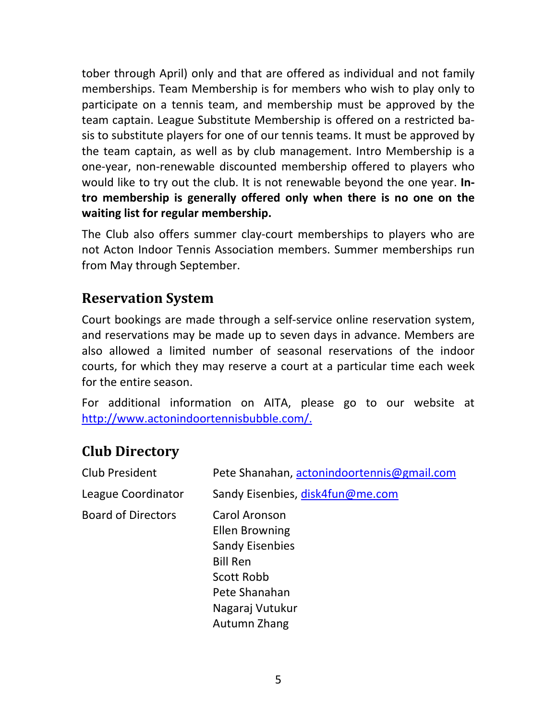tober through April) only and that are offered as individual and not family memberships. Team Membership is for members who wish to play only to participate on a tennis team, and membership must be approved by the team captain. League Substitute Membership is offered on a restricted ba‐ sis to substitute players for one of our tennis teams. It must be approved by the team captain, as well as by club management. Intro Membership is a one‐year, non‐renewable discounted membership offered to players who would like to try out the club. It is not renewable beyond the one year. **In‐ tro membership is generally offered only when there is no one on the waiting list for regular membership.**

The Club also offers summer clay-court memberships to players who are not Acton Indoor Tennis Association members. Summer memberships run from May through September.

## **Reservation System**

Court bookings are made through a self‐service online reservation system, and reservations may be made up to seven days in advance. Members are also allowed a limited number of seasonal reservations of the indoor courts, for which they may reserve a court at a particular time each week for the entire season.

For additional information on AITA, please go to our website at http://www.actonindoortennisbubble.com/.

## **Club Directory**

| Club President            | Pete Shanahan, actonindoortennis@gmail.com                                                                                                            |
|---------------------------|-------------------------------------------------------------------------------------------------------------------------------------------------------|
| League Coordinator        | Sandy Eisenbies, disk4fun@me.com                                                                                                                      |
| <b>Board of Directors</b> | Carol Aronson<br><b>Ellen Browning</b><br><b>Sandy Eisenbies</b><br><b>Bill Ren</b><br>Scott Robb<br>Pete Shanahan<br>Nagaraj Vutukur<br>Autumn Zhang |
|                           |                                                                                                                                                       |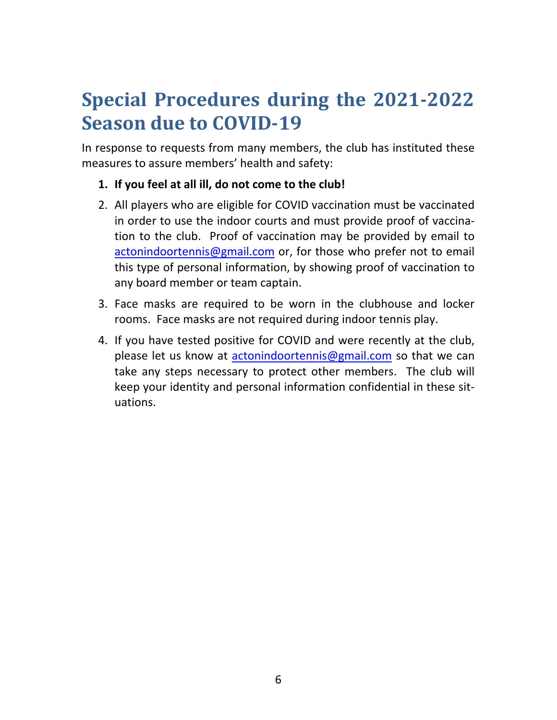## **Special Procedures during the 2021‐2022 Season due to COVID‐19**

In response to requests from many members, the club has instituted these measures to assure members' health and safety:

- **1. If you feel at all ill, do not come to the club!**
- 2. All players who are eligible for COVID vaccination must be vaccinated in order to use the indoor courts and must provide proof of vaccina‐ tion to the club. Proof of vaccination may be provided by email to actonindoortennis@gmail.com or, for those who prefer not to email this type of personal information, by showing proof of vaccination to any board member or team captain.
- 3. Face masks are required to be worn in the clubhouse and locker rooms. Face masks are not required during indoor tennis play.
- 4. If you have tested positive for COVID and were recently at the club, please let us know at actonindoortennis@gmail.com so that we can take any steps necessary to protect other members. The club will keep your identity and personal information confidential in these sit‐ uations.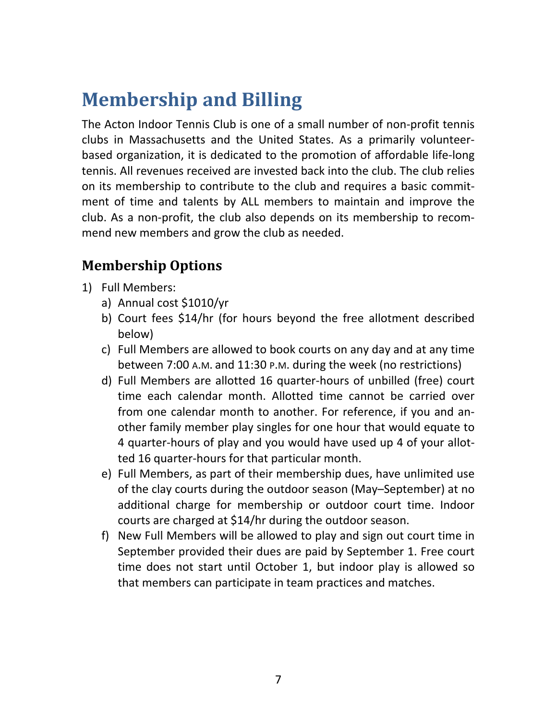## **Membership and Billing**

The Acton Indoor Tennis Club is one of a small number of non‐profit tennis clubs in Massachusetts and the United States. As a primarily volunteer‐ based organization, it is dedicated to the promotion of affordable life‐long tennis. All revenues received are invested back into the club. The club relies on its membership to contribute to the club and requires a basic commit‐ ment of time and talents by ALL members to maintain and improve the club. As a non‐profit, the club also depends on its membership to recom‐ mend new members and grow the club as needed.

## **Membership Options**

- 1) Full Members:
	- a) Annual cost \$1010/yr
	- b) Court fees \$14/hr (for hours beyond the free allotment described below)
	- c) Full Members are allowed to book courts on any day and at any time between 7:00 A.M. and 11:30 P.M. during the week (no restrictions)
	- d) Full Members are allotted 16 quarter‐hours of unbilled (free) court time each calendar month. Allotted time cannot be carried over from one calendar month to another. For reference, if you and an‐ other family member play singles for one hour that would equate to 4 quarter‐hours of play and you would have used up 4 of your allot‐ ted 16 quarter‐hours for that particular month.
	- e) Full Members, as part of their membership dues, have unlimited use of the clay courts during the outdoor season (May–September) at no additional charge for membership or outdoor court time. Indoor courts are charged at \$14/hr during the outdoor season.
	- f) New Full Members will be allowed to play and sign out court time in September provided their dues are paid by September 1. Free court time does not start until October 1, but indoor play is allowed so that members can participate in team practices and matches.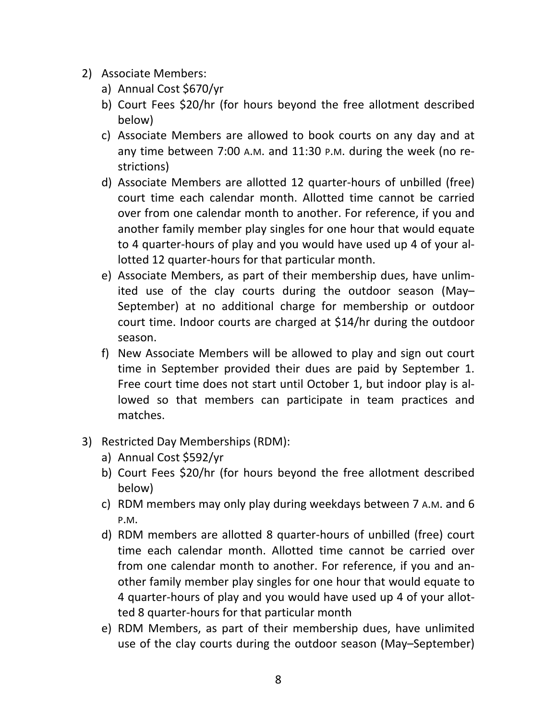- 2) Associate Members:
	- a) Annual Cost \$670/yr
	- b) Court Fees \$20/hr (for hours beyond the free allotment described below)
	- c) Associate Members are allowed to book courts on any day and at any time between 7:00 A.M. and 11:30 P.M. during the week (no re‐ strictions)
	- d) Associate Members are allotted 12 quarter‐hours of unbilled (free) court time each calendar month. Allotted time cannot be carried over from one calendar month to another. For reference, if you and another family member play singles for one hour that would equate to 4 quarter‐hours of play and you would have used up 4 of your al‐ lotted 12 quarter‐hours for that particular month.
	- e) Associate Members, as part of their membership dues, have unlim‐ ited use of the clay courts during the outdoor season (May– September) at no additional charge for membership or outdoor court time. Indoor courts are charged at \$14/hr during the outdoor season.
	- f) New Associate Members will be allowed to play and sign out court time in September provided their dues are paid by September 1. Free court time does not start until October 1, but indoor play is al‐ lowed so that members can participate in team practices and matches.
- 3) Restricted Day Memberships (RDM):
	- a) Annual Cost \$592/yr
	- b) Court Fees \$20/hr (for hours beyond the free allotment described below)
	- c) RDM members may only play during weekdays between 7 A.M. and 6 P.M.
	- d) RDM members are allotted 8 quarter‐hours of unbilled (free) court time each calendar month. Allotted time cannot be carried over from one calendar month to another. For reference, if you and an‐ other family member play singles for one hour that would equate to 4 quarter‐hours of play and you would have used up 4 of your allot‐ ted 8 quarter‐hours for that particular month
	- e) RDM Members, as part of their membership dues, have unlimited use of the clay courts during the outdoor season (May–September)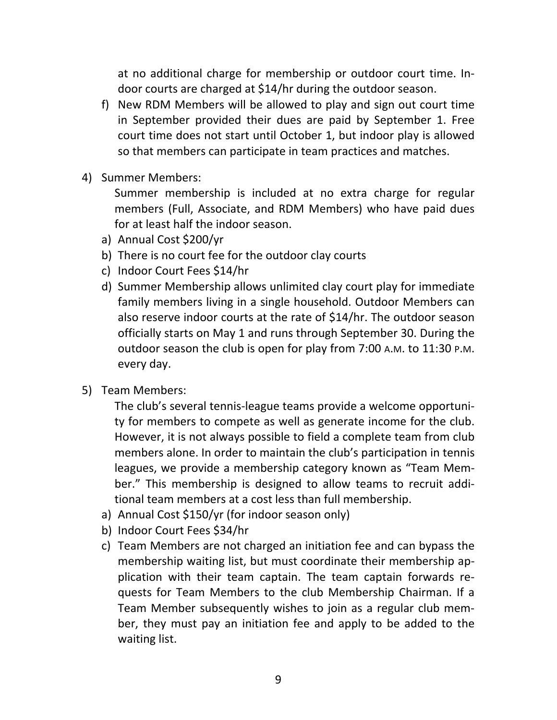at no additional charge for membership or outdoor court time. In‐ door courts are charged at \$14/hr during the outdoor season.

- f) New RDM Members will be allowed to play and sign out court time in September provided their dues are paid by September 1. Free court time does not start until October 1, but indoor play is allowed so that members can participate in team practices and matches.
- 4) Summer Members:

Summer membership is included at no extra charge for regular members (Full, Associate, and RDM Members) who have paid dues for at least half the indoor season.

- a) Annual Cost \$200/yr
- b) There is no court fee for the outdoor clay courts
- c) Indoor Court Fees \$14/hr
- d) Summer Membership allows unlimited clay court play for immediate family members living in a single household. Outdoor Members can also reserve indoor courts at the rate of \$14/hr. The outdoor season officially starts on May 1 and runs through September 30. During the outdoor season the club is open for play from 7:00 A.M. to 11:30 P.M. every day.
- 5) Team Members:

The club's several tennis‐league teams provide a welcome opportuni‐ ty for members to compete as well as generate income for the club. However, it is not always possible to field a complete team from club members alone. In order to maintain the club's participation in tennis leagues, we provide a membership category known as "Team Mem‐ ber." This membership is designed to allow teams to recruit additional team members at a cost less than full membership.

- a) Annual Cost \$150/yr (for indoor season only)
- b) Indoor Court Fees \$34/hr
- c) Team Members are not charged an initiation fee and can bypass the membership waiting list, but must coordinate their membership application with their team captain. The team captain forwards re‐ quests for Team Members to the club Membership Chairman. If a Team Member subsequently wishes to join as a regular club mem‐ ber, they must pay an initiation fee and apply to be added to the waiting list.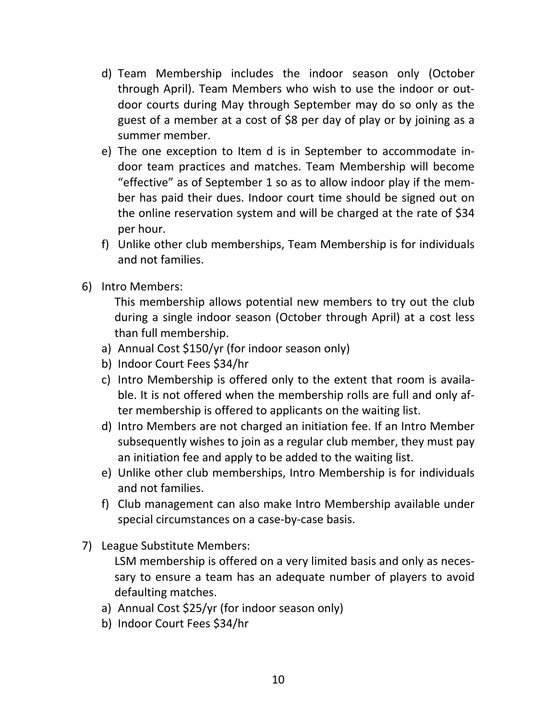- d) Team Membership includes the indoor season only (October through April). Team Members who wish to use the indoor or out‐ door courts during May through September may do so only as the guest of a member at a cost of \$8 per day of play or by joining as a summer member.
- e) The one exception to Item d is in September to accommodate in‐ door team practices and matches. Team Membership will become "effective" as of September 1 so as to allow indoor play if the mem‐ ber has paid their dues. Indoor court time should be signed out on the online reservation system and will be charged at the rate of \$34 per hour.
- f) Unlike other club memberships, Team Membership is for individuals and not families.
- 6) Intro Members:

This membership allows potential new members to try out the club during a single indoor season (October through April) at a cost less than full membership.

- a) Annual Cost \$150/yr (for indoor season only)
- b) Indoor Court Fees \$34/hr
- c) Intro Membership is offered only to the extent that room is availa‐ ble. It is not offered when the membership rolls are full and only af‐ ter membership is offered to applicants on the waiting list.
- d) Intro Members are not charged an initiation fee. If an Intro Member subsequently wishes to join as a regular club member, they must pay an initiation fee and apply to be added to the waiting list.
- e) Unlike other club memberships, Intro Membership is for individuals and not families.
- f) Club management can also make Intro Membership available under special circumstances on a case‐by‐case basis.
- 7) League Substitute Members:

LSM membership is offered on a very limited basis and only as neces‐ sary to ensure a team has an adequate number of players to avoid defaulting matches.

- a) Annual Cost \$25/yr (for indoor season only)
- b) Indoor Court Fees \$34/hr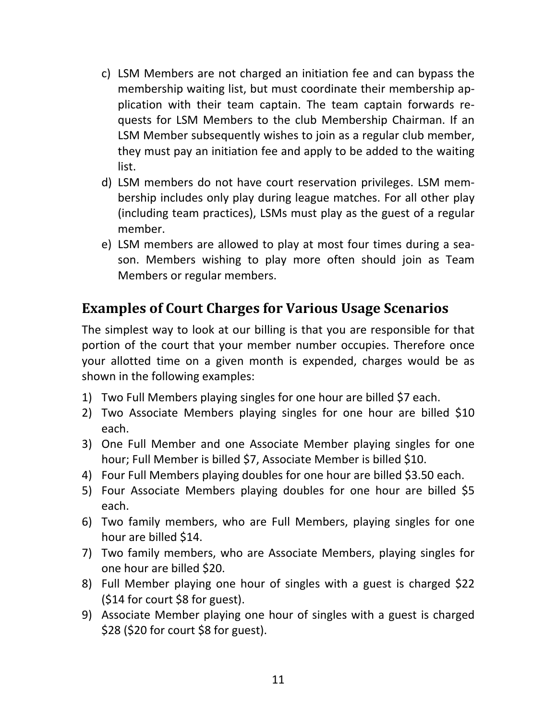- c) LSM Members are not charged an initiation fee and can bypass the membership waiting list, but must coordinate their membership application with their team captain. The team captain forwards re‐ quests for LSM Members to the club Membership Chairman. If an LSM Member subsequently wishes to join as a regular club member, they must pay an initiation fee and apply to be added to the waiting list.
- d) LSM members do not have court reservation privileges. LSM mem‐ bership includes only play during league matches. For all other play (including team practices), LSMs must play as the guest of a regular member.
- e) LSM members are allowed to play at most four times during a sea‐ son. Members wishing to play more often should join as Team Members or regular members.

## **Examples of Court Charges for Various Usage Scenarios**

The simplest way to look at our billing is that you are responsible for that portion of the court that your member number occupies. Therefore once your allotted time on a given month is expended, charges would be as shown in the following examples:

- 1) Two Full Members playing singles for one hour are billed \$7 each.
- 2) Two Associate Members playing singles for one hour are billed \$10 each.
- 3) One Full Member and one Associate Member playing singles for one hour; Full Member is billed \$7, Associate Member is billed \$10.
- 4) Four Full Members playing doubles for one hour are billed \$3.50 each.
- 5) Four Associate Members playing doubles for one hour are billed \$5 each.
- 6) Two family members, who are Full Members, playing singles for one hour are billed \$14.
- 7) Two family members, who are Associate Members, playing singles for one hour are billed \$20.
- 8) Full Member playing one hour of singles with a guest is charged \$22 (\$14 for court \$8 for guest).
- 9) Associate Member playing one hour of singles with a guest is charged \$28 (\$20 for court \$8 for guest).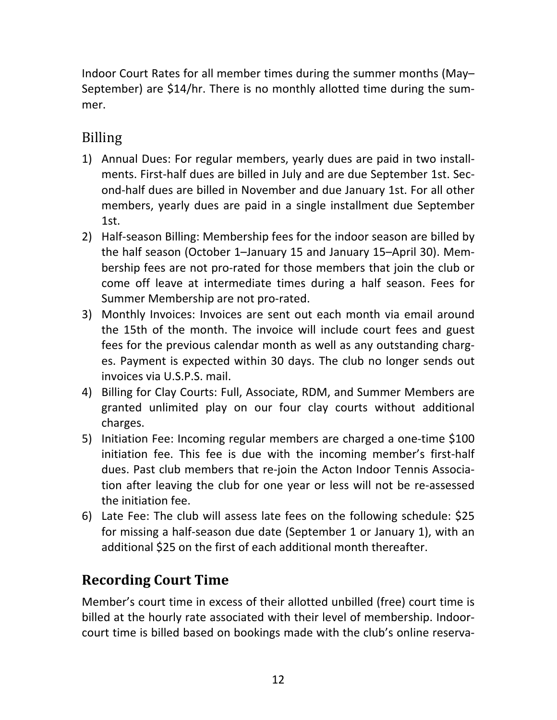Indoor Court Rates for all member times during the summer months (May– September) are \$14/hr. There is no monthly allotted time during the sum‐ mer.

## Billing

- 1) Annual Dues: For regular members, yearly dues are paid in two install‐ ments. First-half dues are billed in July and are due September 1st. Second‐half dues are billed in November and due January 1st. For all other members, yearly dues are paid in a single installment due September 1st.
- 2) Half‐season Billing: Membership fees for the indoor season are billed by the half season (October 1–January 15 and January 15–April 30). Mem‐ bership fees are not pro‐rated for those members that join the club or come off leave at intermediate times during a half season. Fees for Summer Membership are not pro‐rated.
- 3) Monthly Invoices: Invoices are sent out each month via email around the 15th of the month. The invoice will include court fees and guest fees for the previous calendar month as well as any outstanding charg‐ es. Payment is expected within 30 days. The club no longer sends out invoices via U.S.P.S. mail.
- 4) Billing for Clay Courts: Full, Associate, RDM, and Summer Members are granted unlimited play on our four clay courts without additional charges.
- 5) Initiation Fee: Incoming regular members are charged a one-time \$100 initiation fee. This fee is due with the incoming member's first-half dues. Past club members that re‐join the Acton Indoor Tennis Associa‐ tion after leaving the club for one year or less will not be re-assessed the initiation fee.
- 6) Late Fee: The club will assess late fees on the following schedule: \$25 for missing a half‐season due date (September 1 or January 1), with an additional \$25 on the first of each additional month thereafter.

## **Recording Court Time**

Member's court time in excess of their allotted unbilled (free) court time is billed at the hourly rate associated with their level of membership. Indoor‐ court time is billed based on bookings made with the club's online reserva‐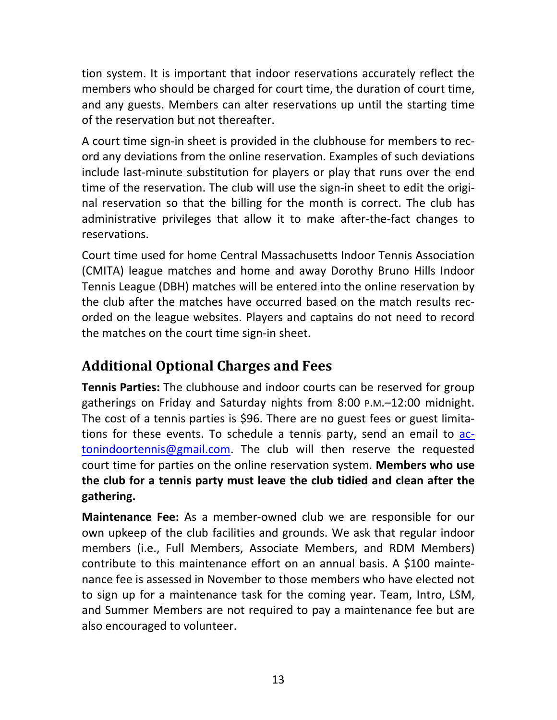tion system. It is important that indoor reservations accurately reflect the members who should be charged for court time, the duration of court time, and any guests. Members can alter reservations up until the starting time of the reservation but not thereafter.

A court time sign‐in sheet is provided in the clubhouse for members to rec‐ ord any deviations from the online reservation. Examples of such deviations include last‐minute substitution for players or play that runs over the end time of the reservation. The club will use the sign-in sheet to edit the original reservation so that the billing for the month is correct. The club has administrative privileges that allow it to make after‐the‐fact changes to reservations.

Court time used for home Central Massachusetts Indoor Tennis Association (CMITA) league matches and home and away Dorothy Bruno Hills Indoor Tennis League (DBH) matches will be entered into the online reservation by the club after the matches have occurred based on the match results rec‐ orded on the league websites. Players and captains do not need to record the matches on the court time sign‐in sheet.

## **Additional Optional Charges and Fees**

**Tennis Parties:** The clubhouse and indoor courts can be reserved for group gatherings on Friday and Saturday nights from 8:00 P.M.–12:00 midnight. The cost of a tennis parties is \$96. There are no guest fees or guest limita‐ tions for these events. To schedule a tennis party, send an email to actonindoortennis@gmail.com. The club will then reserve the requested court time for parties on the online reservation system. **Members who use the club for a tennis party must leave the club tidied and clean after the gathering.**

**Maintenance Fee:** As a member-owned club we are responsible for our own upkeep of the club facilities and grounds. We ask that regular indoor members (i.e., Full Members, Associate Members, and RDM Members) contribute to this maintenance effort on an annual basis. A \$100 mainte‐ nance fee is assessed in November to those members who have elected not to sign up for a maintenance task for the coming year. Team, Intro, LSM, and Summer Members are not required to pay a maintenance fee but are also encouraged to volunteer.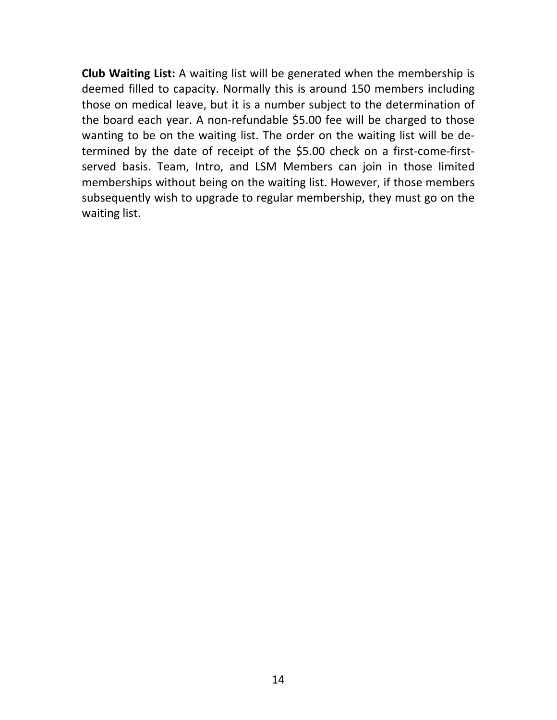**Club Waiting List:** A waiting list will be generated when the membership is deemed filled to capacity. Normally this is around 150 members including those on medical leave, but it is a number subject to the determination of the board each year. A non‐refundable \$5.00 fee will be charged to those wanting to be on the waiting list. The order on the waiting list will be determined by the date of receipt of the \$5.00 check on a first-come-firstserved basis. Team, Intro, and LSM Members can join in those limited memberships without being on the waiting list. However, if those members subsequently wish to upgrade to regular membership, they must go on the waiting list.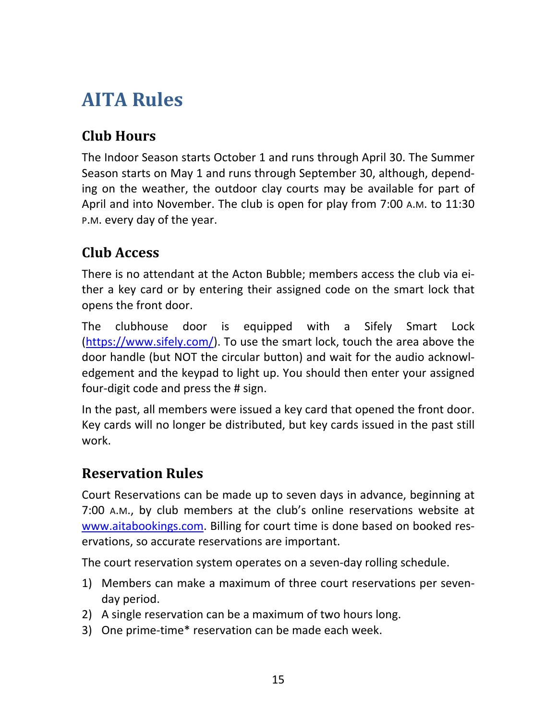## **AITA Rules**

## **Club Hours**

The Indoor Season starts October 1 and runs through April 30. The Summer Season starts on May 1 and runs through September 30, although, depend‐ ing on the weather, the outdoor clay courts may be available for part of April and into November. The club is open for play from 7:00 A.M. to 11:30 P.M. every day of the year.

## **Club Access**

There is no attendant at the Acton Bubble; members access the club via ei‐ ther a key card or by entering their assigned code on the smart lock that opens the front door.

The clubhouse door is equipped with a Sifely Smart Lock (https://www.sifely.com/). To use the smart lock, touch the area above the door handle (but NOT the circular button) and wait for the audio acknowl‐ edgement and the keypad to light up. You should then enter your assigned four‐digit code and press the # sign.

In the past, all members were issued a key card that opened the front door. Key cards will no longer be distributed, but key cards issued in the past still work.

## **Reservation Rules**

Court Reservations can be made up to seven days in advance, beginning at 7:00 A.M., by club members at the club's online reservations website at www.aitabookings.com. Billing for court time is done based on booked reservations, so accurate reservations are important.

The court reservation system operates on a seven-day rolling schedule.

- 1) Members can make a maximum of three court reservations per seven‐ day period.
- 2) A single reservation can be a maximum of two hours long.
- 3) One prime‐time\* reservation can be made each week.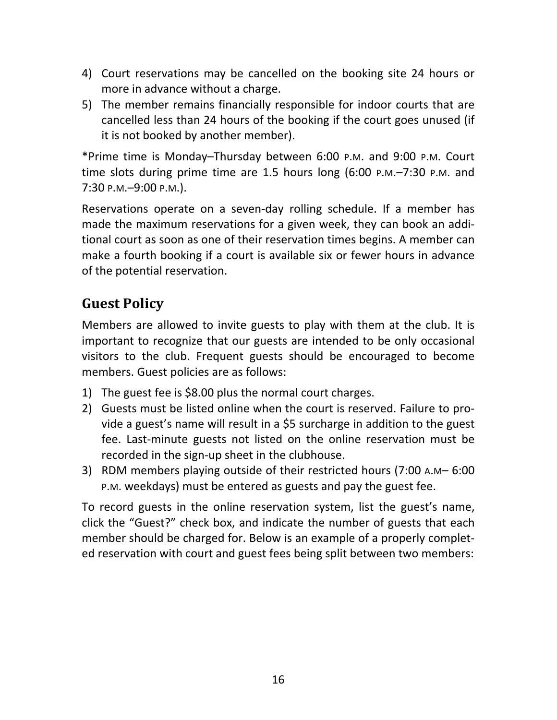- 4) Court reservations may be cancelled on the booking site 24 hours or more in advance without a charge.
- 5) The member remains financially responsible for indoor courts that are cancelled less than 24 hours of the booking if the court goes unused (if it is not booked by another member).

\*Prime time is Monday–Thursday between 6:00 P.M. and 9:00 P.M. Court time slots during prime time are 1.5 hours  $long (6:00 P.M.-7:30 P.M.$  and 7:30 P.M.–9:00 P.M.).

Reservations operate on a seven-day rolling schedule. If a member has made the maximum reservations for a given week, they can book an addi‐ tional court as soon as one of their reservation times begins. A member can make a fourth booking if a court is available six or fewer hours in advance of the potential reservation.

## **Guest Policy**

Members are allowed to invite guests to play with them at the club. It is important to recognize that our guests are intended to be only occasional visitors to the club. Frequent guests should be encouraged to become members. Guest policies are as follows:

- 1) The guest fee is \$8.00 plus the normal court charges.
- 2) Guests must be listed online when the court is reserved. Failure to provide a guest's name will result in a \$5 surcharge in addition to the guest fee. Last-minute guests not listed on the online reservation must be recorded in the sign‐up sheet in the clubhouse.
- 3) RDM members playing outside of their restricted hours (7:00 A.M– 6:00 P.M. weekdays) must be entered as guests and pay the guest fee.

To record guests in the online reservation system, list the guest's name, click the "Guest?" check box, and indicate the number of guests that each member should be charged for. Below is an example of a properly complet‐ ed reservation with court and guest fees being split between two members: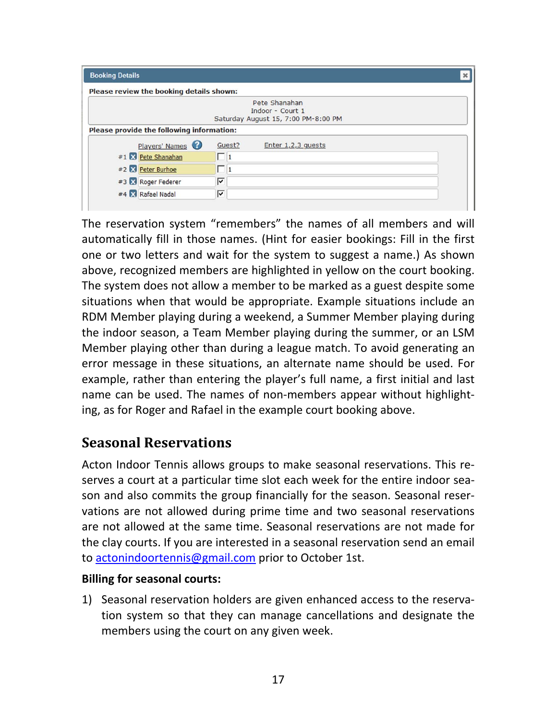| <b>Booking Details</b>                    |                                     |  |  |  |  |
|-------------------------------------------|-------------------------------------|--|--|--|--|
| Please review the booking details shown:  |                                     |  |  |  |  |
|                                           | Pete Shanahan                       |  |  |  |  |
|                                           | Indoor - Court 1                    |  |  |  |  |
|                                           | Saturday August 15, 7:00 PM-8:00 PM |  |  |  |  |
| Please provide the following information: |                                     |  |  |  |  |
| Players' Names                            | Guest?<br>Enter 1,2,3 quests        |  |  |  |  |
| #1 X Pete Shanahan                        | П                                   |  |  |  |  |
| #2 2 Peter Burhoe                         | ш<br>11                             |  |  |  |  |
| #3 X Roger Federer                        | ⊽                                   |  |  |  |  |
| #4 X Rafael Nadal                         | ⊽                                   |  |  |  |  |
|                                           |                                     |  |  |  |  |

The reservation system "remembers" the names of all members and will automatically fill in those names. (Hint for easier bookings: Fill in the first one or two letters and wait for the system to suggest a name.) As shown above, recognized members are highlighted in yellow on the court booking. The system does not allow a member to be marked as a guest despite some situations when that would be appropriate. Example situations include an RDM Member playing during a weekend, a Summer Member playing during the indoor season, a Team Member playing during the summer, or an LSM Member playing other than during a league match. To avoid generating an error message in these situations, an alternate name should be used. For example, rather than entering the player's full name, a first initial and last name can be used. The names of non‐members appear without highlight‐ ing, as for Roger and Rafael in the example court booking above.

## **Seasonal Reservations**

Acton Indoor Tennis allows groups to make seasonal reservations. This re‐ serves a court at a particular time slot each week for the entire indoor sea‐ son and also commits the group financially for the season. Seasonal reser‐ vations are not allowed during prime time and two seasonal reservations are not allowed at the same time. Seasonal reservations are not made for the clay courts. If you are interested in a seasonal reservation send an email to actonindoortennis@gmail.com prior to October 1st.

#### **Billing for seasonal courts:**

1) Seasonal reservation holders are given enhanced access to the reserva‐ tion system so that they can manage cancellations and designate the members using the court on any given week.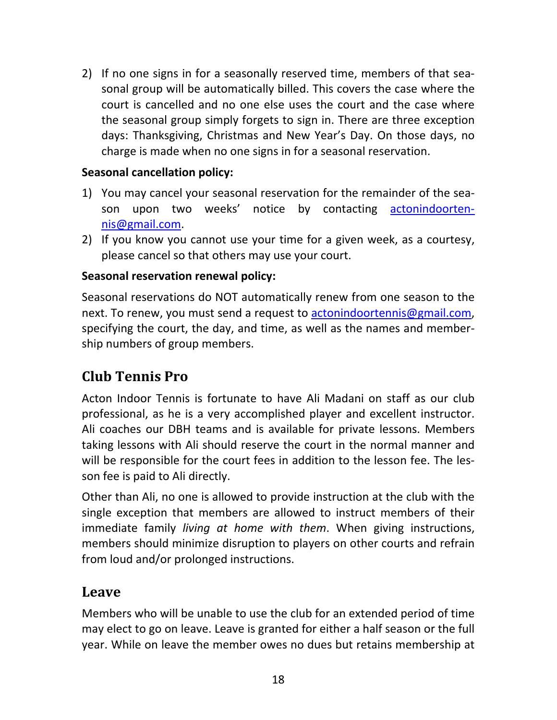2) If no one signs in for a seasonally reserved time, members of that sea‐ sonal group will be automatically billed. This covers the case where the court is cancelled and no one else uses the court and the case where the seasonal group simply forgets to sign in. There are three exception days: Thanksgiving, Christmas and New Year's Day. On those days, no charge is made when no one signs in for a seasonal reservation.

#### **Seasonal cancellation policy:**

- 1) You may cancel your seasonal reservation for the remainder of the sea‐ son upon two weeks' notice by contacting actonindoortennis@gmail.com.
- 2) If you know you cannot use your time for a given week, as a courtesy, please cancel so that others may use your court.

#### **Seasonal reservation renewal policy:**

Seasonal reservations do NOT automatically renew from one season to the next. To renew, you must send a request to actonindoortennis@gmail.com, specifying the court, the day, and time, as well as the names and member‐ ship numbers of group members.

## **Club Tennis Pro**

Acton Indoor Tennis is fortunate to have Ali Madani on staff as our club professional, as he is a very accomplished player and excellent instructor. Ali coaches our DBH teams and is available for private lessons. Members taking lessons with Ali should reserve the court in the normal manner and will be responsible for the court fees in addition to the lesson fee. The lesson fee is paid to Ali directly.

Other than Ali, no one is allowed to provide instruction at the club with the single exception that members are allowed to instruct members of their immediate family *living at home with them*. When giving instructions, members should minimize disruption to players on other courts and refrain from loud and/or prolonged instructions.

### **Leave**

Members who will be unable to use the club for an extended period of time may elect to go on leave. Leave is granted for either a half season or the full year. While on leave the member owes no dues but retains membership at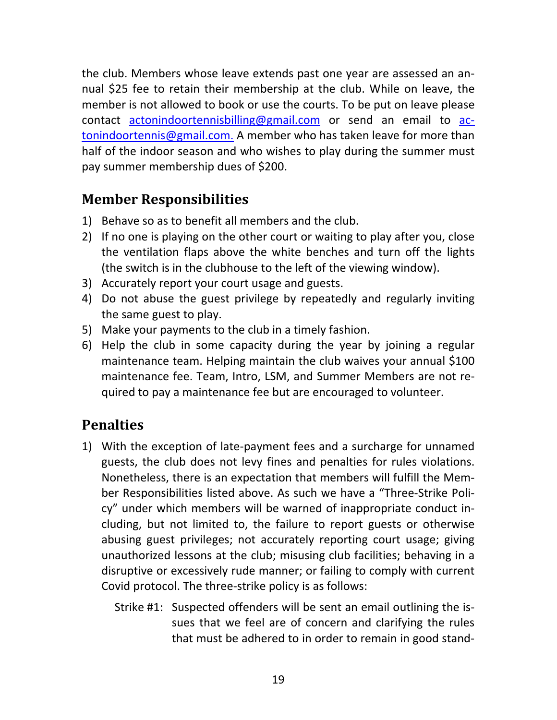the club. Members whose leave extends past one year are assessed an an‐ nual \$25 fee to retain their membership at the club. While on leave, the member is not allowed to book or use the courts. To be put on leave please contact actonindoortennisbilling@gmail.com or send an email to actonindoortennis@gmail.com. A member who has taken leave for more than half of the indoor season and who wishes to play during the summer must pay summer membership dues of \$200.

### **Member Responsibilities**

- 1) Behave so as to benefit all members and the club.
- 2) If no one is playing on the other court or waiting to play after you, close the ventilation flaps above the white benches and turn off the lights (the switch is in the clubhouse to the left of the viewing window).
- 3) Accurately report your court usage and guests.
- 4) Do not abuse the guest privilege by repeatedly and regularly inviting the same guest to play.
- 5) Make your payments to the club in a timely fashion.
- 6) Help the club in some capacity during the year by joining a regular maintenance team. Helping maintain the club waives your annual \$100 maintenance fee. Team, Intro, LSM, and Summer Members are not re‐ quired to pay a maintenance fee but are encouraged to volunteer.

## **Penalties**

- 1) With the exception of late‐payment fees and a surcharge for unnamed guests, the club does not levy fines and penalties for rules violations. Nonetheless, there is an expectation that members will fulfill the Mem‐ ber Responsibilities listed above. As such we have a "Three‐Strike Poli‐ cy" under which members will be warned of inappropriate conduct in‐ cluding, but not limited to, the failure to report guests or otherwise abusing guest privileges; not accurately reporting court usage; giving unauthorized lessons at the club; misusing club facilities; behaving in a disruptive or excessively rude manner; or failing to comply with current Covid protocol. The three‐strike policy is as follows:
	- Strike #1: Suspected offenders will be sent an email outlining the is‐ sues that we feel are of concern and clarifying the rules that must be adhered to in order to remain in good stand‐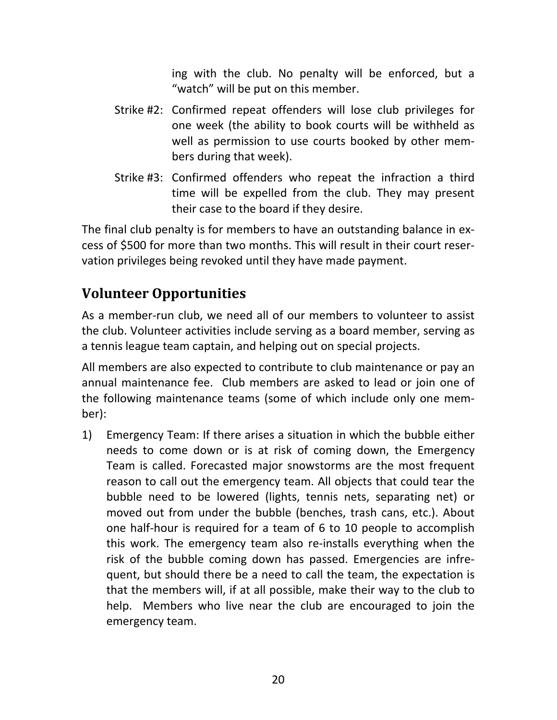ing with the club. No penalty will be enforced, but a "watch" will be put on this member.

- Strike #2: Confirmed repeat offenders will lose club privileges for one week (the ability to book courts will be withheld as well as permission to use courts booked by other members during that week).
- Strike #3: Confirmed offenders who repeat the infraction a third time will be expelled from the club. They may present their case to the board if they desire.

The final club penalty is for members to have an outstanding balance in ex‐ cess of \$500 for more than two months. This will result in their court reser‐ vation privileges being revoked until they have made payment.

## **Volunteer Opportunities**

As a member‐run club, we need all of our members to volunteer to assist the club. Volunteer activities include serving as a board member, serving as a tennis league team captain, and helping out on special projects.

All members are also expected to contribute to club maintenance or pay an annual maintenance fee. Club members are asked to lead or join one of the following maintenance teams (some of which include only one mem‐ ber):

1) Emergency Team: If there arises a situation in which the bubble either needs to come down or is at risk of coming down, the Emergency Team is called. Forecasted major snowstorms are the most frequent reason to call out the emergency team. All objects that could tear the bubble need to be lowered (lights, tennis nets, separating net) or moved out from under the bubble (benches, trash cans, etc.). About one half‐hour is required for a team of 6 to 10 people to accomplish this work. The emergency team also re‐installs everything when the risk of the bubble coming down has passed. Emergencies are infre‐ quent, but should there be a need to call the team, the expectation is that the members will, if at all possible, make their way to the club to help. Members who live near the club are encouraged to join the emergency team.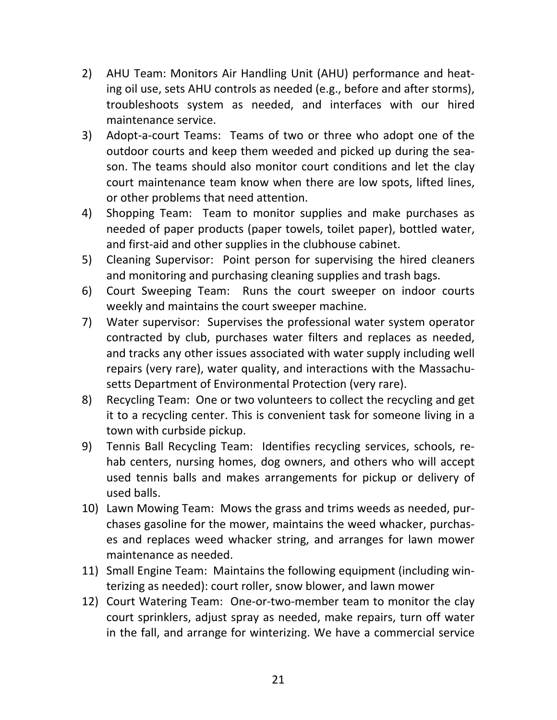- 2) AHU Team: Monitors Air Handling Unit (AHU) performance and heat‐ ing oil use, sets AHU controls as needed (e.g., before and after storms), troubleshoots system as needed, and interfaces with our hired maintenance service.
- 3) Adopt-a-court Teams: Teams of two or three who adopt one of the outdoor courts and keep them weeded and picked up during the sea‐ son. The teams should also monitor court conditions and let the clay court maintenance team know when there are low spots, lifted lines, or other problems that need attention.
- 4) Shopping Team: Team to monitor supplies and make purchases as needed of paper products (paper towels, toilet paper), bottled water, and first-aid and other supplies in the clubhouse cabinet.
- 5) Cleaning Supervisor: Point person for supervising the hired cleaners and monitoring and purchasing cleaning supplies and trash bags.
- 6) Court Sweeping Team: Runs the court sweeper on indoor courts weekly and maintains the court sweeper machine.
- 7) Water supervisor: Supervises the professional water system operator contracted by club, purchases water filters and replaces as needed, and tracks any other issues associated with water supply including well repairs (very rare), water quality, and interactions with the Massachu‐ setts Department of Environmental Protection (very rare).
- 8) Recycling Team: One or two volunteers to collect the recycling and get it to a recycling center. This is convenient task for someone living in a town with curbside pickup.
- 9) Tennis Ball Recycling Team: Identifies recycling services, schools, rehab centers, nursing homes, dog owners, and others who will accept used tennis balls and makes arrangements for pickup or delivery of used balls.
- 10) Lawn Mowing Team: Mows the grass and trims weeds as needed, pur‐ chases gasoline for the mower, maintains the weed whacker, purchas‐ es and replaces weed whacker string, and arranges for lawn mower maintenance as needed.
- 11) Small Engine Team: Maintains the following equipment (including win‐ terizing as needed): court roller, snow blower, and lawn mower
- 12) Court Watering Team: One‐or‐two‐member team to monitor the clay court sprinklers, adjust spray as needed, make repairs, turn off water in the fall, and arrange for winterizing. We have a commercial service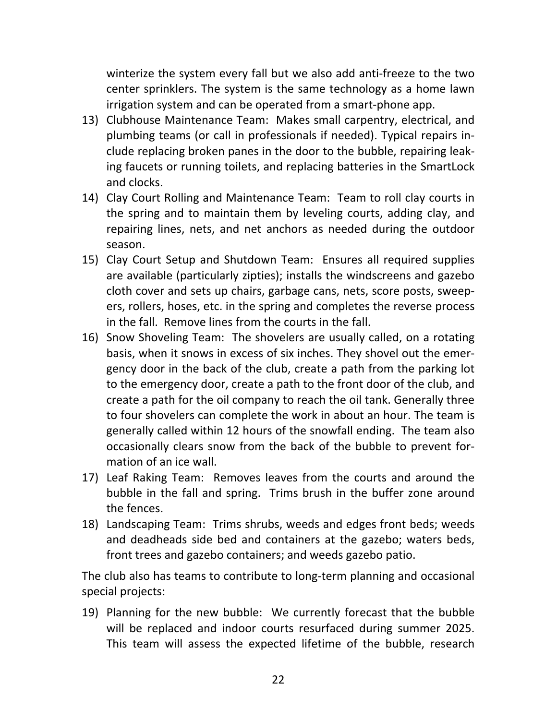winterize the system every fall but we also add anti-freeze to the two center sprinklers. The system is the same technology as a home lawn irrigation system and can be operated from a smart‐phone app.

- 13) Clubhouse Maintenance Team: Makes small carpentry, electrical, and plumbing teams (or call in professionals if needed). Typical repairs in‐ clude replacing broken panes in the door to the bubble, repairing leak‐ ing faucets or running toilets, and replacing batteries in the SmartLock and clocks.
- 14) Clay Court Rolling and Maintenance Team: Team to roll clay courts in the spring and to maintain them by leveling courts, adding clay, and repairing lines, nets, and net anchors as needed during the outdoor season.
- 15) Clay Court Setup and Shutdown Team: Ensures all required supplies are available (particularly zipties); installs the windscreens and gazebo cloth cover and sets up chairs, garbage cans, nets, score posts, sweep‐ ers, rollers, hoses, etc. in the spring and completes the reverse process in the fall. Remove lines from the courts in the fall.
- 16) Snow Shoveling Team: The shovelers are usually called, on a rotating basis, when it snows in excess of six inches. They shovel out the emer‐ gency door in the back of the club, create a path from the parking lot to the emergency door, create a path to the front door of the club, and create a path for the oil company to reach the oil tank. Generally three to four shovelers can complete the work in about an hour. The team is generally called within 12 hours of the snowfall ending. The team also occasionally clears snow from the back of the bubble to prevent for‐ mation of an ice wall.
- 17) Leaf Raking Team: Removes leaves from the courts and around the bubble in the fall and spring. Trims brush in the buffer zone around the fences.
- 18) Landscaping Team: Trims shrubs, weeds and edges front beds; weeds and deadheads side bed and containers at the gazebo; waters beds, front trees and gazebo containers; and weeds gazebo patio.

The club also has teams to contribute to long‐term planning and occasional special projects:

19) Planning for the new bubble: We currently forecast that the bubble will be replaced and indoor courts resurfaced during summer 2025. This team will assess the expected lifetime of the bubble, research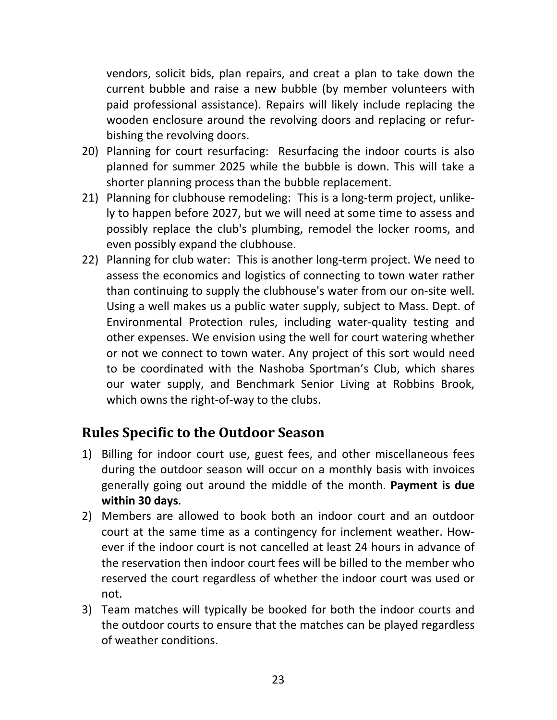vendors, solicit bids, plan repairs, and creat a plan to take down the current bubble and raise a new bubble (by member volunteers with paid professional assistance). Repairs will likely include replacing the wooden enclosure around the revolving doors and replacing or refur‐ bishing the revolving doors.

- 20) Planning for court resurfacing: Resurfacing the indoor courts is also planned for summer 2025 while the bubble is down. This will take a shorter planning process than the bubble replacement.
- 21) Planning for clubhouse remodeling: This is a long‐term project, unlike‐ ly to happen before 2027, but we will need at some time to assess and possibly replace the club's plumbing, remodel the locker rooms, and even possibly expand the clubhouse.
- 22) Planning for club water: This is another long-term project. We need to assess the economics and logistics of connecting to town water rather than continuing to supply the clubhouse's water from our on‐site well. Using a well makes us a public water supply, subject to Mass. Dept. of Environmental Protection rules, including water‐quality testing and other expenses. We envision using the well for court watering whether or not we connect to town water. Any project of this sort would need to be coordinated with the Nashoba Sportman's Club, which shares our water supply, and Benchmark Senior Living at Robbins Brook, which owns the right-of-way to the clubs.

## **Rules Specific to the Outdoor Season**

- 1) Billing for indoor court use, guest fees, and other miscellaneous fees during the outdoor season will occur on a monthly basis with invoices generally going out around the middle of the month. **Payment is due within 30 days**.
- 2) Members are allowed to book both an indoor court and an outdoor court at the same time as a contingency for inclement weather. How‐ ever if the indoor court is not cancelled at least 24 hours in advance of the reservation then indoor court fees will be billed to the member who reserved the court regardless of whether the indoor court was used or not.
- 3) Team matches will typically be booked for both the indoor courts and the outdoor courts to ensure that the matches can be played regardless of weather conditions.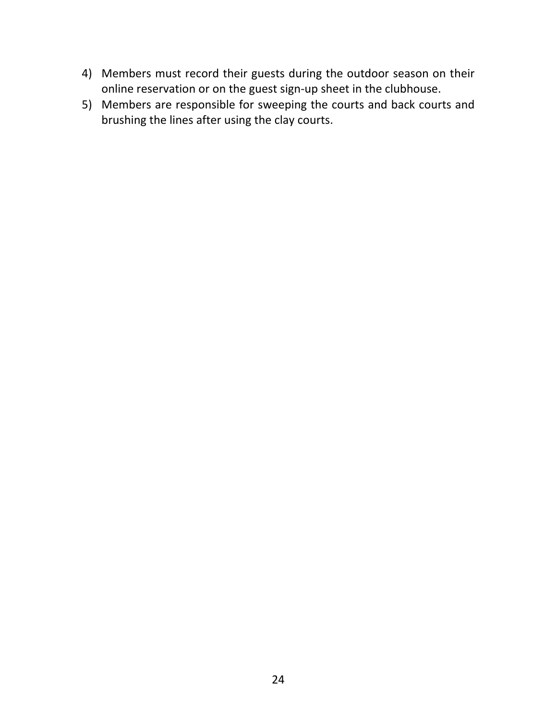- 4) Members must record their guests during the outdoor season on their online reservation or on the guest sign‐up sheet in the clubhouse.
- 5) Members are responsible for sweeping the courts and back courts and brushing the lines after using the clay courts.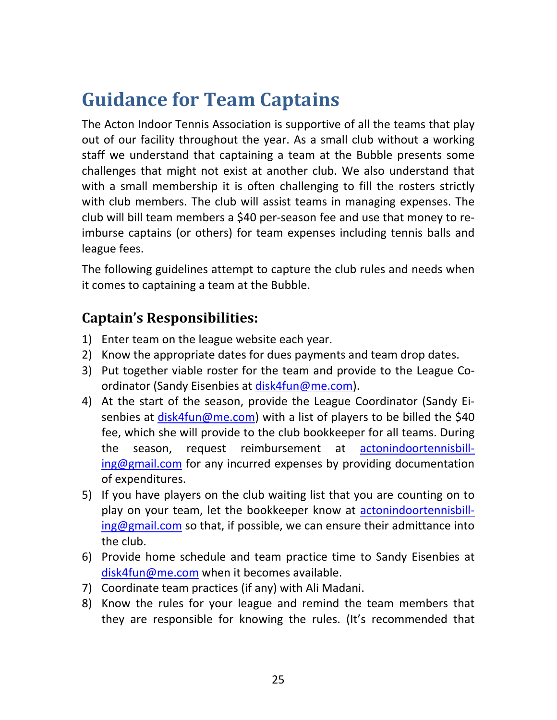## **Guidance for Team Captains**

The Acton Indoor Tennis Association is supportive of all the teams that play out of our facility throughout the year. As a small club without a working staff we understand that captaining a team at the Bubble presents some challenges that might not exist at another club. We also understand that with a small membership it is often challenging to fill the rosters strictly with club members. The club will assist teams in managing expenses. The club will bill team members a \$40 per‐season fee and use that money to re‐ imburse captains (or others) for team expenses including tennis balls and league fees.

The following guidelines attempt to capture the club rules and needs when it comes to captaining a team at the Bubble.

## **Captain's Responsibilities:**

- 1) Enter team on the league website each year.
- 2) Know the appropriate dates for dues payments and team drop dates.
- 3) Put together viable roster for the team and provide to the League Co‐ ordinator (Sandy Eisenbies at disk4fun@me.com).
- 4) At the start of the season, provide the League Coordinator (Sandy Ei‐ senbies at disk4fun@me.com) with a list of players to be billed the \$40 fee, which she will provide to the club bookkeeper for all teams. During the season, request reimbursement at actonindoortennisbill‐ ing@gmail.com for any incurred expenses by providing documentation of expenditures.
- 5) If you have players on the club waiting list that you are counting on to play on your team, let the bookkeeper know at actonindoortennisbill $ing@gmail.com$  so that, if possible, we can ensure their admittance into the club.
- 6) Provide home schedule and team practice time to Sandy Eisenbies at disk4fun@me.com when it becomes available.
- 7) Coordinate team practices (if any) with Ali Madani.
- 8) Know the rules for your league and remind the team members that they are responsible for knowing the rules. (It's recommended that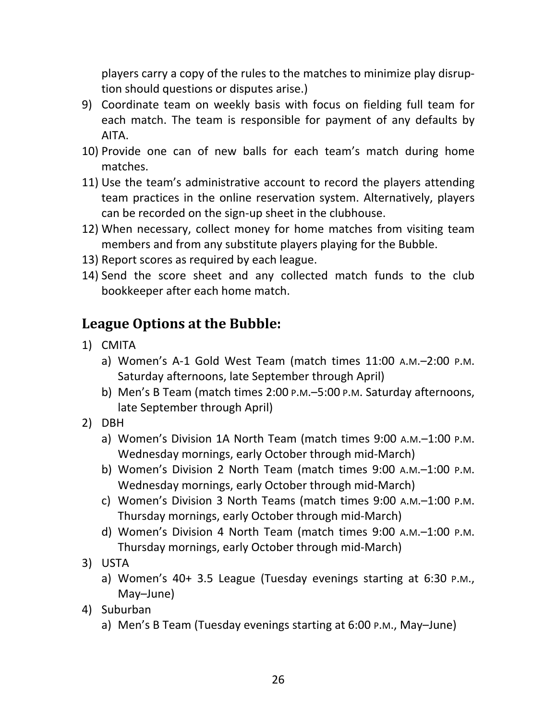players carry a copy of the rules to the matches to minimize play disrup‐ tion should questions or disputes arise.)

- 9) Coordinate team on weekly basis with focus on fielding full team for each match. The team is responsible for payment of any defaults by AITA.
- 10) Provide one can of new balls for each team's match during home matches.
- 11) Use the team's administrative account to record the players attending team practices in the online reservation system. Alternatively, players can be recorded on the sign‐up sheet in the clubhouse.
- 12) When necessary, collect money for home matches from visiting team members and from any substitute players playing for the Bubble.
- 13) Report scores as required by each league.
- 14) Send the score sheet and any collected match funds to the club bookkeeper after each home match.

### **League Options at the Bubble:**

- 1) CMITA
	- a) Women's A‐1 Gold West Team (match times 11:00 A.M.–2:00 P.M. Saturday afternoons, late September through April)
	- b) Men's B Team (match times 2:00 P.M.–5:00 P.M. Saturday afternoons, late September through April)
- 2) DBH
	- a) Women's Division 1A North Team (match times 9:00 A.M.–1:00 P.M. Wednesday mornings, early October through mid‐March)
	- b) Women's Division 2 North Team (match times 9:00 A.M.–1:00 P.M. Wednesday mornings, early October through mid‐March)
	- c) Women's Division 3 North Teams (match times 9:00 A.M.–1:00 P.M. Thursday mornings, early October through mid‐March)
	- d) Women's Division 4 North Team (match times 9:00 A.M.–1:00 P.M. Thursday mornings, early October through mid‐March)
- 3) USTA
	- a) Women's 40+ 3.5 League (Tuesday evenings starting at 6:30 P.M., May–June)
- 4) Suburban
	- a) Men's B Team (Tuesday evenings starting at 6:00 P.M., May–June)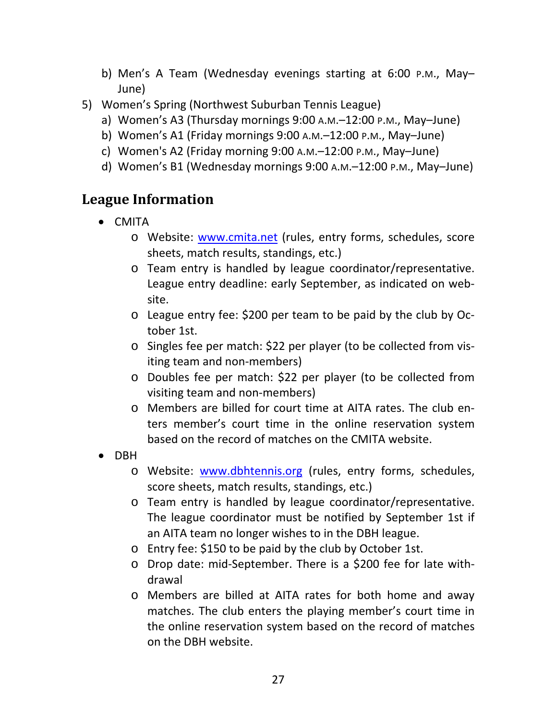- b) Men's A Team (Wednesday evenings starting at 6:00 P.M., May– June)
- 5) Women's Spring (Northwest Suburban Tennis League)
	- a) Women's A3 (Thursday mornings 9:00 A.M.–12:00 P.M., May–June)
	- b) Women's A1 (Friday mornings 9:00 A.M.–12:00 P.M., May–June)
	- c) Women's A2 (Friday morning 9:00 A.M.–12:00 P.M., May–June)
	- d) Women's B1 (Wednesday mornings 9:00 A.M.–12:00 P.M., May–June)

### **League Information**

- CMITA
	- o Website: www.cmita.net (rules, entry forms, schedules, score sheets, match results, standings, etc.)
	- o Team entry is handled by league coordinator/representative. League entry deadline: early September, as indicated on web‐ site.
	- o League entry fee: \$200 per team to be paid by the club by Oc‐ tober 1st.
	- o Singles fee per match: \$22 per player (to be collected from vis‐ iting team and non‐members)
	- o Doubles fee per match: \$22 per player (to be collected from visiting team and non‐members)
	- o Members are billed for court time at AITA rates. The club en‐ ters member's court time in the online reservation system based on the record of matches on the CMITA website.
- DBH
	- o Website: www.dbhtennis.org (rules, entry forms, schedules, score sheets, match results, standings, etc.)
	- o Team entry is handled by league coordinator/representative. The league coordinator must be notified by September 1st if an AITA team no longer wishes to in the DBH league.
	- o Entry fee: \$150 to be paid by the club by October 1st.
	- o Drop date: mid‐September. There is a \$200 fee for late with‐ drawal
	- o Members are billed at AITA rates for both home and away matches. The club enters the playing member's court time in the online reservation system based on the record of matches on the DBH website.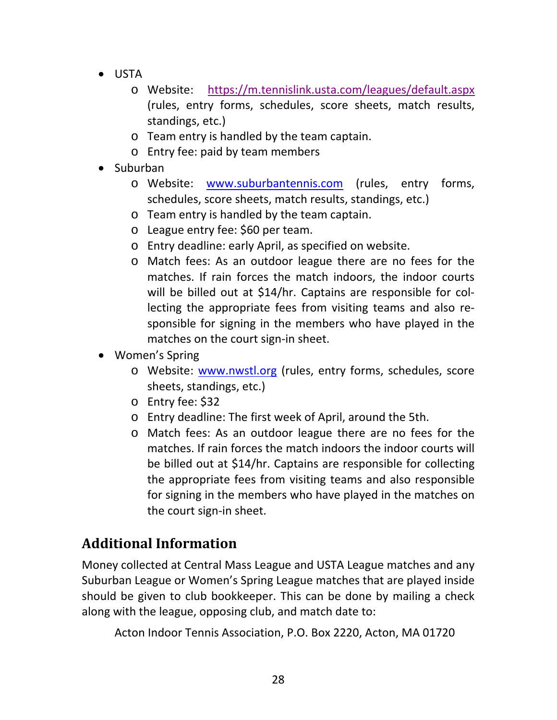- USTA
	- o Website: https://m.tennislink.usta.com/leagues/default.aspx (rules, entry forms, schedules, score sheets, match results, standings, etc.)
	- o Team entry is handled by the team captain.
	- o Entry fee: paid by team members
- Suburban
	- o Website: www.suburbantennis.com (rules, entry forms, schedules, score sheets, match results, standings, etc.)
	- o Team entry is handled by the team captain.
	- o League entry fee: \$60 per team.
	- o Entry deadline: early April, as specified on website.
	- o Match fees: As an outdoor league there are no fees for the matches. If rain forces the match indoors, the indoor courts will be billed out at \$14/hr. Captains are responsible for collecting the appropriate fees from visiting teams and also re‐ sponsible for signing in the members who have played in the matches on the court sign-in sheet.
- Women's Spring
	- o Website: www.nwstl.org (rules, entry forms, schedules, score sheets, standings, etc.)
	- o Entry fee: \$32
	- o Entry deadline: The first week of April, around the 5th.
	- o Match fees: As an outdoor league there are no fees for the matches. If rain forces the match indoors the indoor courts will be billed out at \$14/hr. Captains are responsible for collecting the appropriate fees from visiting teams and also responsible for signing in the members who have played in the matches on the court sign‐in sheet.

## **Additional Information**

Money collected at Central Mass League and USTA League matches and any Suburban League or Women's Spring League matches that are played inside should be given to club bookkeeper. This can be done by mailing a check along with the league, opposing club, and match date to:

Acton Indoor Tennis Association, P.O. Box 2220, Acton, MA 01720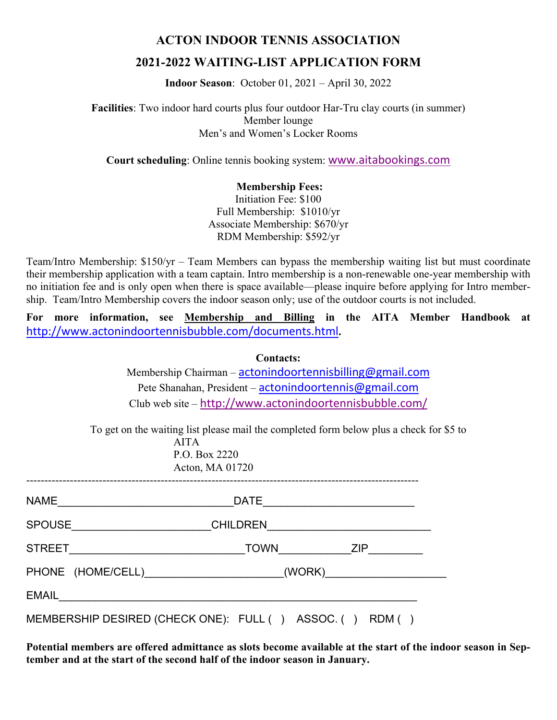#### **ACTON INDOOR TENNIS ASSOCIATION**

#### **2021-2022 WAITING-LIST APPLICATION FORM**

**Indoor Season**: October 01, 2021 – April 30, 2022

**Facilities**: Two indoor hard courts plus four outdoor Har-Tru clay courts (in summer) Member lounge Men's and Women's Locker Rooms

**Court scheduling**: Online tennis booking system: www.aitabookings.com

#### **Membership Fees:**

Initiation Fee: \$100 Full Membership: \$1010/yr Associate Membership: \$670/yr RDM Membership: \$592/yr

Team/Intro Membership: \$150/yr – Team Members can bypass the membership waiting list but must coordinate their membership application with a team captain. Intro membership is a non-renewable one-year membership with no initiation fee and is only open when there is space available—please inquire before applying for Intro membership. Team/Intro Membership covers the indoor season only; use of the outdoor courts is not included.

**For more information, see Membership and Billing in the AITA Member Handbook at**  http://www.actonindoortennisbubble.com/documents.html**.** 

|       | <b>Contacts:</b>                                                                                                                           |  |  |  |  |  |
|-------|--------------------------------------------------------------------------------------------------------------------------------------------|--|--|--|--|--|
|       | Membership Chairman - actonindoortennisbilling@gmail.com                                                                                   |  |  |  |  |  |
|       | Pete Shanahan, President – actonindoortennis@gmail.com                                                                                     |  |  |  |  |  |
|       | Club web site – http://www.actonindoortennisbubble.com/                                                                                    |  |  |  |  |  |
|       | To get on the waiting list please mail the completed form below plus a check for \$5 to<br><b>AITA</b><br>P.O. Box 2220<br>Acton, MA 01720 |  |  |  |  |  |
|       |                                                                                                                                            |  |  |  |  |  |
|       |                                                                                                                                            |  |  |  |  |  |
|       | TOWN ZIP                                                                                                                                   |  |  |  |  |  |
|       | (WORK)                                                                                                                                     |  |  |  |  |  |
| EMAIL |                                                                                                                                            |  |  |  |  |  |
|       |                                                                                                                                            |  |  |  |  |  |

MEMBERSHIP DESIRED (CHECK ONE): FULL ( ) ASSOC. ( ) RDM ( )

**Potential members are offered admittance as slots become available at the start of the indoor season in September and at the start of the second half of the indoor season in January.**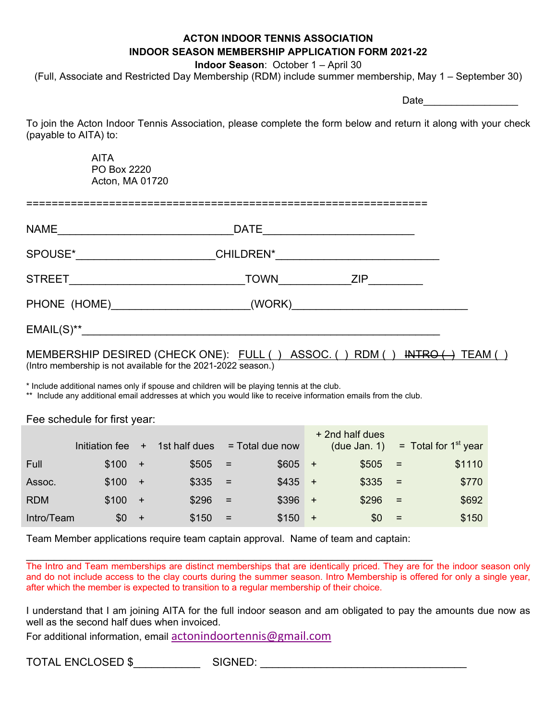#### **ACTON INDOOR TENNIS ASSOCIATION INDOOR SEASON MEMBERSHIP APPLICATION FORM 2021-22**

**Indoor Season**: October 1 – April 30

(Full, Associate and Restricted Day Membership (RDM) include summer membership, May 1 – September 30)

Date and the set of  $\sim$ 

To join the Acton Indoor Tennis Association, please complete the form below and return it along with your check (payable to AITA) to:

> AITA PO Box 2220 Acton, MA 01720

| <b>NAME</b>   | <b>DATE</b>      |     |  |
|---------------|------------------|-----|--|
| SPOUSE*       | <b>CHILDREN*</b> |     |  |
| <b>STREET</b> | <b>TOWN</b>      | 7IP |  |

| PHONE (HOME) | (WORK) |  |
|--------------|--------|--|
|              |        |  |

EMAIL(S)\*\*\_\_\_\_\_\_\_\_\_\_\_\_\_\_\_\_\_\_\_\_\_\_\_\_\_\_\_\_\_\_\_\_\_\_\_\_\_\_\_\_\_\_\_\_\_\_\_\_\_\_\_\_\_\_\_\_\_\_\_

MEMBERSHIP DESIRED (CHECK ONE): FULL () ASSOC. () RDM () INTRO (-) TEAM () (Intro membership is not available for the 2021-2022 season.)

\* Include additional names only if spouse and children will be playing tennis at the club.

\*\* Include any additional email addresses at which you would like to receive information emails from the club.

#### Fee schedule for first year:

|            | Initiation fee | $+$ | 1st half dues |     | $=$ Total due now |           | + 2nd half dues<br>(due Jan. 1) |     | $=$ Total for 1 <sup>st</sup> year |
|------------|----------------|-----|---------------|-----|-------------------|-----------|---------------------------------|-----|------------------------------------|
| Full       | \$100          | $+$ | \$505         | $=$ | \$605             | $+$       | \$505                           | $=$ | \$1110                             |
| Assoc.     | \$100          | $+$ | \$335         | $=$ | \$435             | $+$       | \$335                           | $=$ | \$770                              |
| <b>RDM</b> | \$100          | $+$ | \$296         | $=$ | \$396             | $+$       | \$296                           | $=$ | \$692                              |
| Intro/Team | \$0            | $+$ | \$150         | $=$ | \$150             | $\ddot{}$ | \$0                             | $=$ | \$150                              |

Team Member applications require team captain approval. Name of team and captain:

\_\_\_\_\_\_\_\_\_\_\_\_\_\_\_\_\_\_\_\_\_\_\_\_\_\_\_\_\_\_\_\_\_\_\_\_\_\_\_\_\_\_\_\_\_\_\_\_\_\_\_\_\_\_\_\_\_\_\_\_\_\_\_\_\_\_\_\_\_\_\_\_\_ The Intro and Team memberships are distinct memberships that are identically priced. They are for the indoor season only and do not include access to the clay courts during the summer season. Intro Membership is offered for only a single year, after which the member is expected to transition to a regular membership of their choice.

I understand that I am joining AITA for the full indoor season and am obligated to pay the amounts due now as well as the second half dues when invoiced.

For additional information, email actonindoortennis@gmail.com

TOTAL ENCLOSED \$ SIGNED: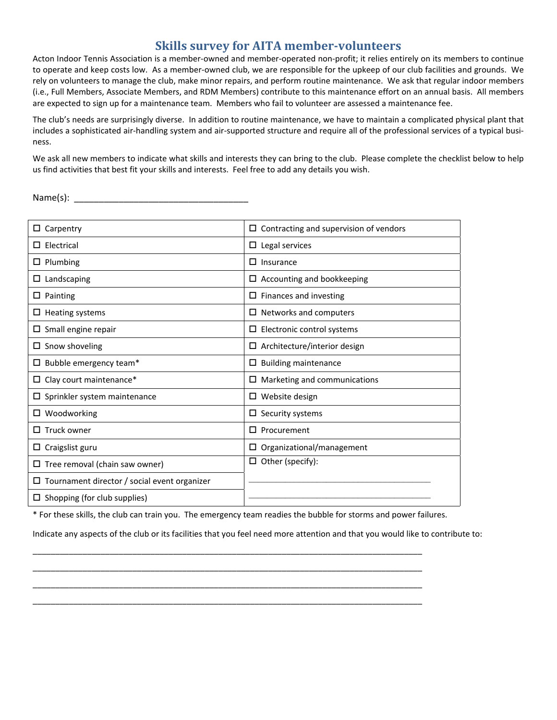#### **Skills survey for AITA member‐volunteers**

Acton Indoor Tennis Association is a member‐owned and member‐operated non‐profit; it relies entirely on its members to continue to operate and keep costs low. As a member-owned club, we are responsible for the upkeep of our club facilities and grounds. We rely on volunteers to manage the club, make minor repairs, and perform routine maintenance. We ask that regular indoor members (i.e., Full Members, Associate Members, and RDM Members) contribute to this maintenance effort on an annual basis. All members are expected to sign up for a maintenance team. Members who fail to volunteer are assessed a maintenance fee.

The club's needs are surprisingly diverse. In addition to routine maintenance, we have to maintain a complicated physical plant that includes a sophisticated air-handling system and air-supported structure and require all of the professional services of a typical business.

We ask all new members to indicate what skills and interests they can bring to the club. Please complete the checklist below to help us find activities that best fit your skills and interests. Feel free to add any details you wish.

Name(s): \_\_\_\_\_\_\_\_\_\_\_\_\_\_\_\_\_\_\_\_\_\_\_\_\_\_\_\_\_\_\_\_\_\_\_

| Carpentry                                    | $\Box$ Contracting and supervision of vendors |
|----------------------------------------------|-----------------------------------------------|
| Electrical                                   | $\square$ Legal services                      |
| Plumbing                                     | □<br>Insurance                                |
| Landscaping<br>ப                             | $\Box$ Accounting and bookkeeping             |
| Painting<br>ш                                | Finances and investing                        |
| Heating systems                              | $\Box$ Networks and computers                 |
| Small engine repair                          | $\Box$ Electronic control systems             |
| Snow shoveling                               | Architecture/interior design                  |
| Bubble emergency team*                       | <b>Building maintenance</b><br>□              |
| $\Box$ Clay court maintenance*               | Marketing and communications<br>□             |
| $\square$ Sprinkler system maintenance       | $\square$ Website design                      |
| $\Box$ Woodworking                           | $\Box$ Security systems                       |
| Truck owner                                  | Procurement<br>П.                             |
| Craigslist guru<br>ш                         | Organizational/management<br>□                |
| $\Box$ Tree removal (chain saw owner)        | Other (specify):                              |
| Tournament director / social event organizer |                                               |
| $\Box$ Shopping (for club supplies)          |                                               |

\* For these skills, the club can train you. The emergency team readies the bubble for storms and power failures.

\_\_\_\_\_\_\_\_\_\_\_\_\_\_\_\_\_\_\_\_\_\_\_\_\_\_\_\_\_\_\_\_\_\_\_\_\_\_\_\_\_\_\_\_\_\_\_\_\_\_\_\_\_\_\_\_\_\_\_\_\_\_\_\_\_\_\_\_\_\_\_\_\_\_\_\_\_\_\_\_\_\_\_\_\_\_ \_\_\_\_\_\_\_\_\_\_\_\_\_\_\_\_\_\_\_\_\_\_\_\_\_\_\_\_\_\_\_\_\_\_\_\_\_\_\_\_\_\_\_\_\_\_\_\_\_\_\_\_\_\_\_\_\_\_\_\_\_\_\_\_\_\_\_\_\_\_\_\_\_\_\_\_\_\_\_\_\_\_\_\_\_\_ \_\_\_\_\_\_\_\_\_\_\_\_\_\_\_\_\_\_\_\_\_\_\_\_\_\_\_\_\_\_\_\_\_\_\_\_\_\_\_\_\_\_\_\_\_\_\_\_\_\_\_\_\_\_\_\_\_\_\_\_\_\_\_\_\_\_\_\_\_\_\_\_\_\_\_\_\_\_\_\_\_\_\_\_\_\_ \_\_\_\_\_\_\_\_\_\_\_\_\_\_\_\_\_\_\_\_\_\_\_\_\_\_\_\_\_\_\_\_\_\_\_\_\_\_\_\_\_\_\_\_\_\_\_\_\_\_\_\_\_\_\_\_\_\_\_\_\_\_\_\_\_\_\_\_\_\_\_\_\_\_\_\_\_\_\_\_\_\_\_\_\_\_

Indicate any aspects of the club or its facilities that you feel need more attention and that you would like to contribute to: